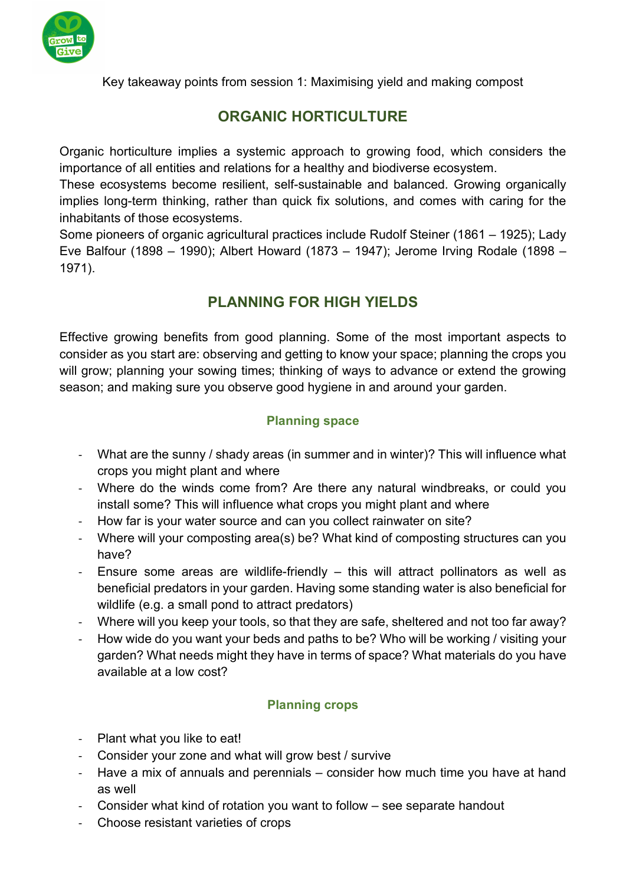

Key takeaway points from session 1: Maximising yield and making compost

# ORGANIC HORTICULTURE

Organic horticulture implies a systemic approach to growing food, which considers the importance of all entities and relations for a healthy and biodiverse ecosystem.

These ecosystems become resilient, self-sustainable and balanced. Growing organically implies long-term thinking, rather than quick fix solutions, and comes with caring for the inhabitants of those ecosystems.

Some pioneers of organic agricultural practices include Rudolf Steiner (1861 – 1925); Lady Eve Balfour (1898 – 1990); Albert Howard (1873 – 1947); Jerome Irving Rodale (1898 – 1971).

# PLANNING FOR HIGH YIELDS

Effective growing benefits from good planning. Some of the most important aspects to consider as you start are: observing and getting to know your space; planning the crops you will grow; planning your sowing times; thinking of ways to advance or extend the growing season; and making sure you observe good hygiene in and around your garden.

## Planning space

- What are the sunny / shady areas (in summer and in winter)? This will influence what crops you might plant and where
- Where do the winds come from? Are there any natural windbreaks, or could you install some? This will influence what crops you might plant and where
- How far is your water source and can you collect rainwater on site?
- Where will your composting area(s) be? What kind of composting structures can you have?
- Ensure some areas are wildlife-friendly this will attract pollinators as well as beneficial predators in your garden. Having some standing water is also beneficial for wildlife (e.g. a small pond to attract predators)
- Where will you keep your tools, so that they are safe, sheltered and not too far away?
- How wide do you want your beds and paths to be? Who will be working / visiting your garden? What needs might they have in terms of space? What materials do you have available at a low cost?

## Planning crops

- Plant what you like to eat!
- Consider your zone and what will grow best / survive
- Have a mix of annuals and perennials consider how much time you have at hand as well
- Consider what kind of rotation you want to follow see separate handout
- Choose resistant varieties of crops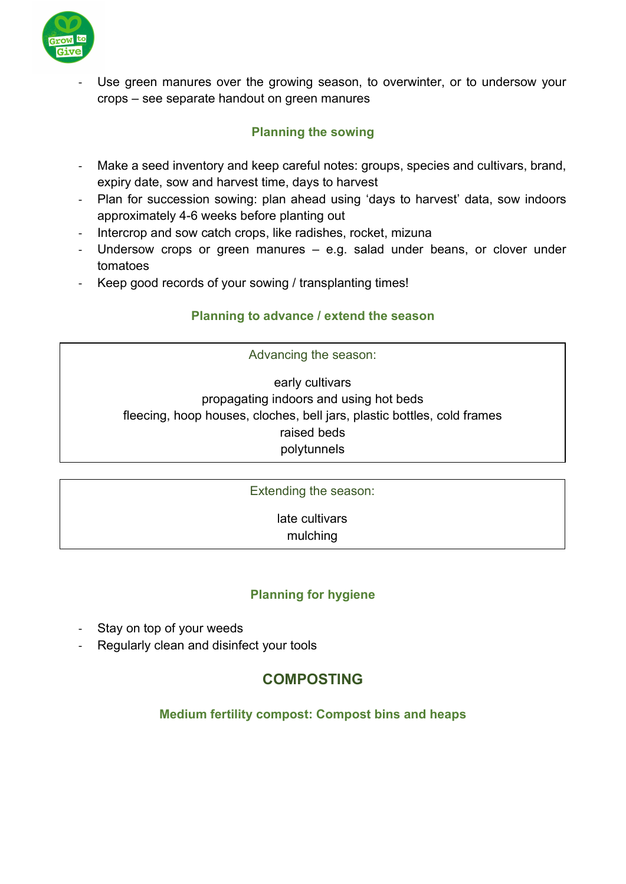

Use green manures over the growing season, to overwinter, or to undersow your crops – see separate handout on green manures

### Planning the sowing

- Make a seed inventory and keep careful notes: groups, species and cultivars, brand, expiry date, sow and harvest time, days to harvest
- Plan for succession sowing: plan ahead using 'days to harvest' data, sow indoors approximately 4-6 weeks before planting out
- Intercrop and sow catch crops, like radishes, rocket, mizuna
- Undersow crops or green manures e.g. salad under beans, or clover under tomatoes
- Keep good records of your sowing / transplanting times!

#### Planning to advance / extend the season

Advancing the season:

early cultivars propagating indoors and using hot beds fleecing, hoop houses, cloches, bell jars, plastic bottles, cold frames raised beds polytunnels

Extending the season: late cultivars mulching

#### Planning for hygiene

- Stay on top of your weeds
- Regularly clean and disinfect your tools

## COMPOSTING

#### Medium fertility compost: Compost bins and heaps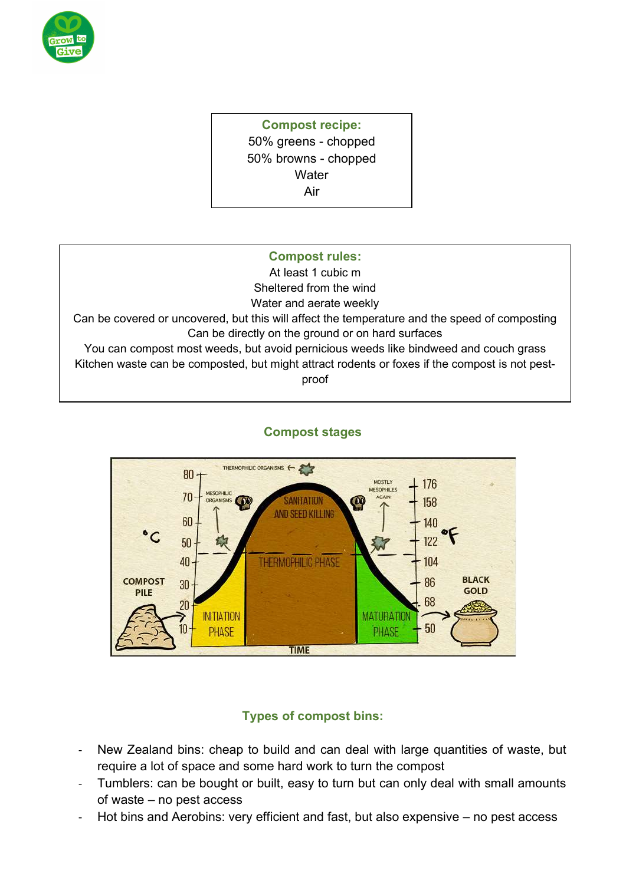

## Compost recipe: 50% greens - chopped 50% browns - chopped **Water** Air

## Compost rules:

At least 1 cubic m Sheltered from the wind Water and aerate weekly

Can be covered or uncovered, but this will affect the temperature and the speed of composting Can be directly on the ground or on hard surfaces

You can compost most weeds, but avoid pernicious weeds like bindweed and couch grass Kitchen waste can be composted, but might attract rodents or foxes if the compost is not pestproof



## Compost stages

## Types of compost bins:

- New Zealand bins: cheap to build and can deal with large quantities of waste, but require a lot of space and some hard work to turn the compost
- Tumblers: can be bought or built, easy to turn but can only deal with small amounts of waste – no pest access
- Hot bins and Aerobins: very efficient and fast, but also expensive no pest access